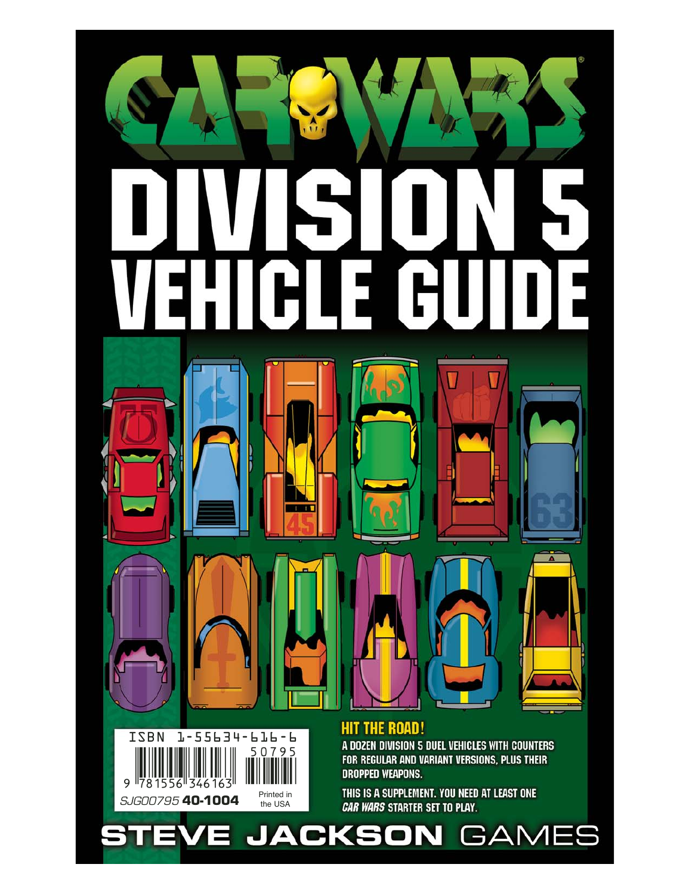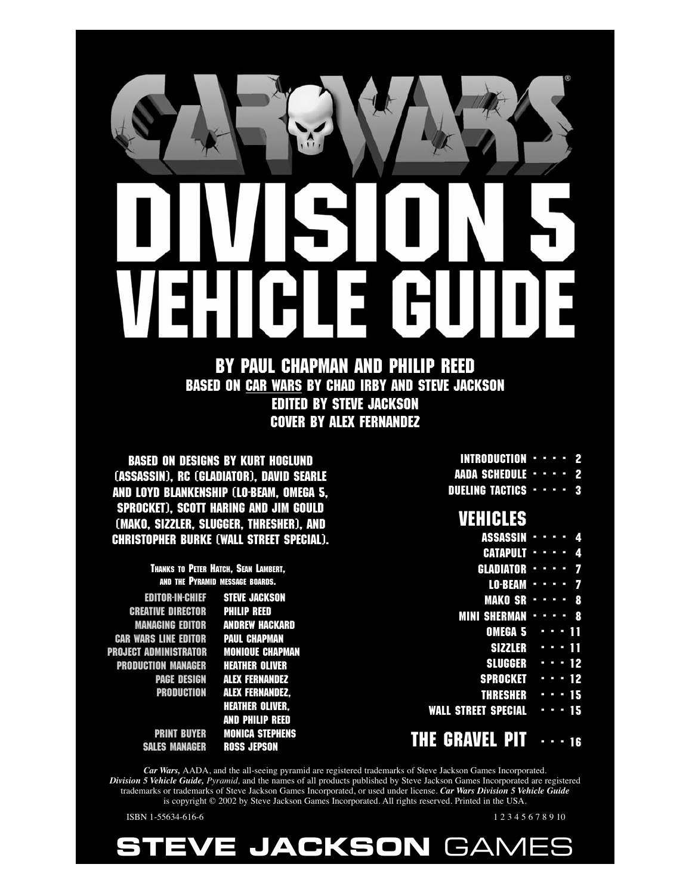# ۴ŀ BY PAUL CHAPMAN AND PHILIP REED

BASED ON CAR WARS BY CHAD IRBY AND STEVE JACKSON EDITED BY STEVE JACKSON COVER BY ALEX FERNANDEZ

BASED ON DESIGNS BY KURT HOGLUND (ASSASSIN), RC (GLADIATOR), DAVID SEARLE AND LOYD BLANKENSHIP (LO-BEAM, OMEGA 5, SPROCKET), SCOTT HARING AND JIM GOULD (MAKO, SIZZLER, SLUGGER, THRESHER), AND CHRISTOPHER BURKE (WALL STREET SPECIAL).

> THANKS TO PETER HATCH, SEAN LAMBERT, AND THE PYRAMID MESSAGE BOARDS.

| EDITOR-IN-CHIEF STEV             |            |
|----------------------------------|------------|
| <b>CREATIVE DIRECTOR PHIL</b>    |            |
| <b>MANAGING EDITOR ANDI</b>      |            |
| <b>CAR WARS LINE EDITOR PAUL</b> |            |
| ROJECT ADMINISTRATOR        MON  |            |
| <b>PRODUCTION MANAGER HEAT</b>   |            |
| <b>PAGE DESIGN ALEX</b>          |            |
| <b>PRODUCTION ALEX</b>           |            |
|                                  | HW         |
|                                  | <b>AND</b> |
|                                  |            |

**SALES MANAGER** 

E JACKSON **P** REED REW HACKARD **CHAPMAN** IQUE CHAPMAN **HER OLIVER FERNANDEZ FERNANDEZ. HER OLIVER. PHILIP REED** MONICA STEPHENS<br>ROSS JEPSON

| INTRODUCTION $\cdots$ 2   |  |  |  |
|---------------------------|--|--|--|
| AADA SCHEDULE • • • • 2   |  |  |  |
| DUELING TACTICS - - - - 3 |  |  |  |

#### VEHICLES

| <b>ASSASSIN</b>        |              |   |   | 4                       |
|------------------------|--------------|---|---|-------------------------|
| <b>CATAPULT</b>        |              |   |   | 4                       |
| <b>GLADIATOR</b>       |              |   |   | $\overline{\mathbf{z}}$ |
| <b>LO-BEAM</b>         |              |   |   | 7                       |
| <b>MAKO SR</b>         |              |   | п | 8                       |
| <b>MINI SHERMAN</b>    |              |   |   | $\overline{\mathbf{3}}$ |
| <b>OMEGA 5 -</b>       |              |   |   | $\overline{\cdots}$ 11  |
| <b>SIZZLER</b>         |              |   |   | - 11                    |
| <b>SLUGGER ·</b>       |              | × |   | $-12$                   |
| <b>SPROCKET</b>        | <b>COLOR</b> |   |   | $\cdot \cdot 12$        |
| THRESHER - - - 15      |              |   |   |                         |
| WALL STREET SPECIAL    |              |   |   | $\cdots$ 15             |
| <b>E GRAVEL PIT</b> 16 |              |   |   |                         |

*Car Wars,* AADA, and the all-seeing pyramid are registered trademarks of Steve Jackson Games Incorporated. *Division 5 Vehicle Guide, Pyramid,* and the names of all products published by Steve Jackson Games Incorporated are registered trademarks or trademarks of Steve Jackson Games Incorporated, or used under license. *Car Wars Division 5 Vehicle Guide* is copyright © 2002 by Steve Jackson Games Incorporated. All rights reserved. Printed in the USA.

THE

ISBN 1-55634-616-6 1 2 3 4 5 6 7 8 9 10

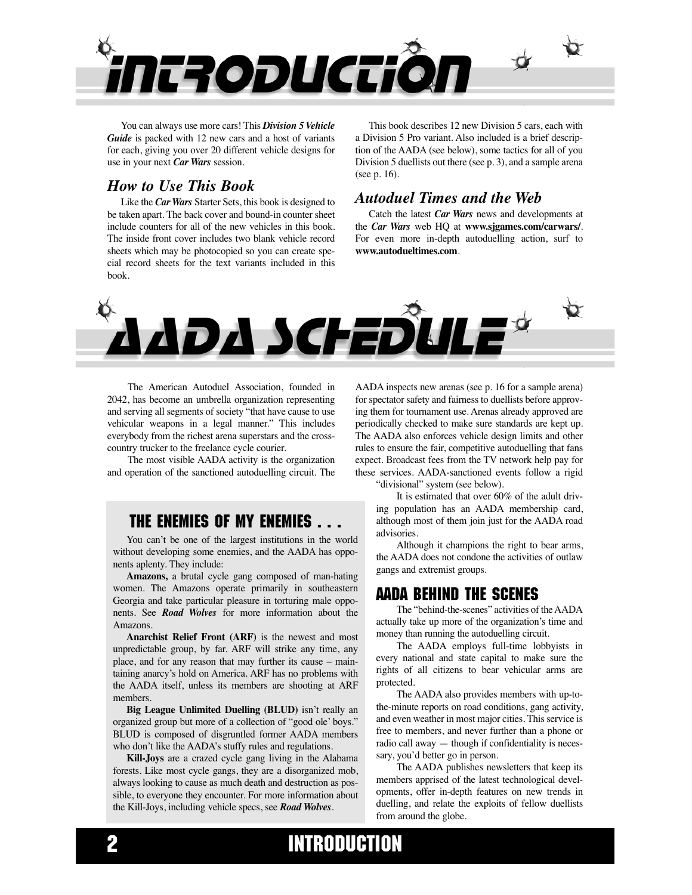

You can always use more cars! This *Division 5 Vehicle Guide* is packed with 12 new cars and a host of variants for each, giving you over 20 different vehicle designs for use in your next *Car Wars* session.

#### *How to Use This Book*

Like the *Car Wars* Starter Sets, this book is designed to be taken apart. The back cover and bound-in counter sheet include counters for all of the new vehicles in this book. The inside front cover includes two blank vehicle record sheets which may be photocopied so you can create special record sheets for the text variants included in this book.

This book describes 12 new Division 5 cars, each with a Division 5 Pro variant. Also included is a brief description of the AADA (see below), some tactics for all of you Division 5 duellists out there (see p. 3), and a sample arena (see p. 16).

#### *Autoduel Times and the Web*

Catch the latest *Car Wars* news and developments at the *Car Wars* web HQ at **[www.sjgames.com/carwars/](www.sjgames.com/car-wars)**. For even more in-depth autoduelling action, surf to **[www.autodueltimes.com](www.sjgames.com/gurps/books/autoduel)**.



The American Autoduel Association, founded in 2042, has become an umbrella organization representing and serving all segments of society "that have cause to use vehicular weapons in a legal manner." This includes everybody from the richest arena superstars and the crosscountry trucker to the freelance cycle courier.

The most visible AADA activity is the organization and operation of the sanctioned autoduelling circuit. The

#### THE ENEMIES OF MY ENEMIES . . .

You can't be one of the largest institutions in the world without developing some enemies, and the AADA has opponents aplenty. They include:

**Amazons,** a brutal cycle gang composed of man-hating women. The Amazons operate primarily in southeastern Georgia and take particular pleasure in torturing male opponents. See *Road Wolves* for more information about the Amazons.

**Anarchist Relief Front (ARF)** is the newest and most unpredictable group, by far. ARF will strike any time, any place, and for any reason that may further its cause – maintaining anarcy's hold on America. ARF has no problems with the AADA itself, unless its members are shooting at ARF members.

**Big League Unlimited Duelling (BLUD)** isn't really an organized group but more of a collection of "good ole' boys." BLUD is composed of disgruntled former AADA members who don't like the AADA's stuffy rules and regulations.

**Kill-Joys** are a crazed cycle gang living in the Alabama forests. Like most cycle gangs, they are a disorganized mob, always looking to cause as much death and destruction as possible, to everyone they encounter. For more information about the Kill-Joys, including vehicle specs, see *Road Wolves*.

AADA inspects new arenas (see p. 16 for a sample arena) for spectator safety and fairness to duellists before approving them for tournament use. Arenas already approved are periodically checked to make sure standards are kept up. The AADA also enforces vehicle design limits and other rules to ensure the fair, competitive autoduelling that fans expect. Broadcast fees from the TV network help pay for these services. AADA-sanctioned events follow a rigid

"divisional" system (see below).

It is estimated that over 60% of the adult driving population has an AADA membership card, although most of them join just for the AADA road advisories.

Although it champions the right to bear arms, the AADA does not condone the activities of outlaw gangs and extremist groups.

#### AADA BEHIND THE SCENES

The "behind-the-scenes" activities of the AADA actually take up more of the organization's time and money than running the autoduelling circuit.

The AADA employs full-time lobbyists in every national and state capital to make sure the rights of all citizens to bear vehicular arms are protected.

The AADA also provides members with up-tothe-minute reports on road conditions, gang activity, and even weather in most major cities. This service is free to members, and never further than a phone or radio call away — though if confidentiality is necessary, you'd better go in person.

The AADA publishes newsletters that keep its members apprised of the latest technological developments, offer in-depth features on new trends in duelling, and relate the exploits of fellow duellists from around the globe.